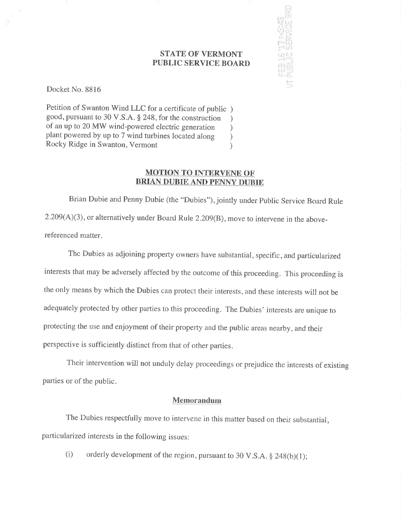### STATE OF VERMONT PUBLIC SERVICE BOARD

l'., i l: ¡.;r: ali (,r;;l "" i" lrl ."r:,j

I i pr<br>F" l.r.l<br>F" D" ! r'l ¡;..lll '''<br>'''' r.r'i i, , المشابات ll 'ti' !-,.

Docket No. 8816

Petition of Swanton Wind LLC for a certificate of public ) good, pursuant to 30 V.S.A. \$ 248, for the construction ) of an up to 20 MW wind-powered electric generation <br>plant powered by up to 7 wind turbines located along ) plant powered by up to 7 wind turbines located along <br>Rocky Ridge in Swanton, Vermont (a) Rocky Ridge in Swanton, Vermont )

## MOTION TO INTERVENE OF BRIAN DUBIE AND PENNY DUBIE

Brian Dubie and Penny Dubie (the "Dubies"), jointly under Public Service Board Rule 2.209(A)(3), or alternatively under Board Rule 2.209(8), move to intervene in the abovereferenced matter.

The Dubies as adjoining property owners have substantial, specific, and particularized interests that may be adversely affected by the outcome of this proceeding. This proceeding is the only means by which the Dubies can protect their interests, and these interests will not be adequately protected by other parties to this proceeding. The Dubies' interests are unique to protecting the use and enjoyment of their property and the public areas nearby, and their perspective is sufficiently distinct from that of other parties.

Their intervention will not unduly delay proceedings or prejudice the interests of existing parties or of the public.

### Memorandum

The Dubies respectfully move to intervene in this matter based on their substantial, particularized interests in the following issues:

(i) orderly development of the region, pursuant to 30 V.S.A.  $\S$  248(b)(1);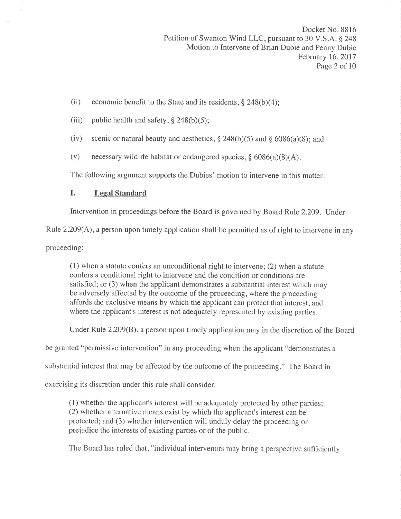- (ii) economic benefit to the State and its residents,  $\S$  248(b)(4);
- (iii) public health and safety,  $\S$  248(b)(5);
- (iv) scenic or natural beauty and aesthetics,  $\S 248(b)(5)$  and  $\S 6086(a)(8)$ ; and
- (v) necessary wildlife habitat or endangered species,  $\S$  6086(a)(8)(A).

The following argument supports the Dubies' motion to intervene in this matter.

## I. Legal Standard

Intervention in proceedings before the Board is governed by Board Rule 2.209. Under

Rule 2.209(A), a person upon timely application shall be permitted as of right to intervene in any

proceeding:

(1) when a statute confers an unconditional right to intervene; (2) when a statute confers a conditional right to intervene and the condition or conditions are satisfied; or (3) when the applicant demonstrates a substantial interest which may be adversely affected by the outcome of the proceeding, where the proceeding affords the exclusive means by which the applicant can protect that interest, and where the applicant's interest is not adequately represented by existing parties.

Under Rule 2.209(B), a person upon timely application may in the discretion of the Board

be granted "permissive intervention" in any proceeding when the applicant "demonstrates a

substantial interest that may be affected by the outcome of the proceeding." The Board in

exercising its discretion under this rule shall consider:

(l) whether the applicant's interest will be adequately protected by other parties; (2) whether alternative means exist by which the applicant's interest can be protected; and (3) whether intervention will unduly delay the proceeding or prejudice the interests of existing parties or of the public.

The Board has ruled that, "individual intervenors may bring a perspective sufficiently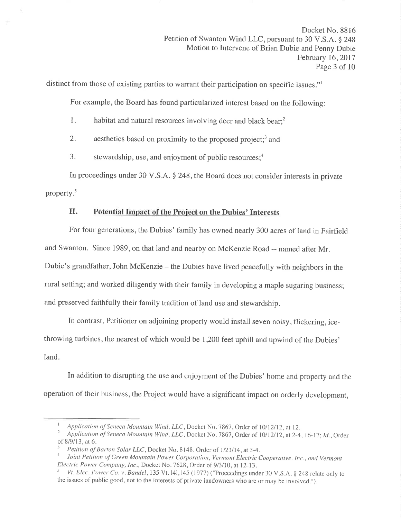distinct from those of existing parties to warrant their participation on specific issues."l

For example, the Board has found particularized interest based on the following:

- 1. habitat and natural resources involving deer and black bear;<sup>2</sup>
- 2. aesthetics based on proximity to the proposed project;<sup>3</sup> and
- 3. stewardship, use, and enjoyment of public resources; $4$

In proceedings under 30 V.S.A. \$ 248, the Board does not consider interests in private property.5

# II. Potential Impact of the Project on the Dubies' Interests

For four generations, the Dubies' family has owned nearly 300 acres of land in Fairfield and Swanton. Since 1989, on that land and nearby on McKenzie Road -- named after Mr. Dubie's grandfather, John McKenzie - the Dubies have lived peacefully with neighbors in the rural setting; and worked diligently with their family in developing a maple sugaring business; and preserved faithfully their family tradition of land use and stewardship.

In contrast, Petitioner on adjoining property would install seven noisy, flickering, icethrowing turbines, the nearest of which would be 1,200 feet uphill and upwind of the Dubies' land.

In addition to disrupting the use and enjoyment of the Dubies' home and property and the operation of their business, the Project would have a significant impact on orderly development,

I Application of Seneca Mountain Wind, LLC, Docket No. 7867, Order of 10/12/12, at 12.<br><sup>2</sup> Application of Seneca Mountain Wind, LLC, Docket No. 7867, Order of 10/12/12, at 2-4, 16-17; Id., Order<br>of 8/9/13. at 6.

<sup>&</sup>lt;sup>3</sup> Petition of Barton Solar LLC, Docket No. 8148, Order of 1/21/14, at 3-4.<br><sup>4</sup> Joint Petition of Green Mountain Power Corporation, Vermont Electric Cooperative, Inc., and Vermont<br>Electric Power Company, Inc., Docket No.

Vt. Elec. Power Co. v. Bandel, 135 Vt. 14l, 145 (1977) ("Proceedings under 30 V.S.A. § 248 relate only to the issues of public good, not to the interests of private landowners who are ormay be involvecl.").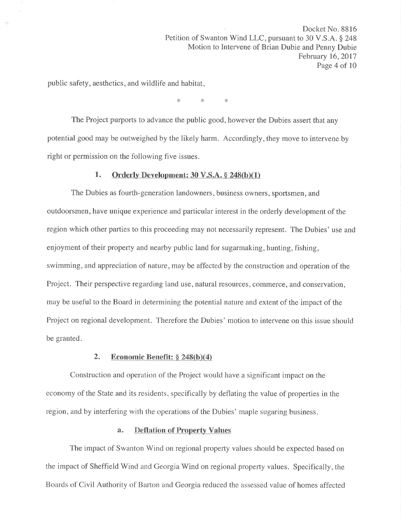public safety, aesthetics, and wildlife and habitat

\* \* \*

The Project purports to advance the public good, however the Dubies assert that any potential good may be outweighed by the likely harm. Accordingly, they move to intervene by right or permission on the following five issues.

### 1. Orderly Development:  $30 \text{ V.S.A.} \$   $248(b)(1)$

The Dubies as fourth-generation landowners, business owners, sportsmen, and outdoorsmen, have unique experience and particular interest in the orderly development of the region which other parties to this proceeding may not necessarily represent. The Dubies' use and enjoyment of their property and nearby public land for sugarmaking, hunting, fishing, swimming, and appreciation of nature, may be affected by the construction and operation of the Project. Their perspective regarding land use, natural resources, commerce, and conservation, may be useful to the Board in determining the potential nature and extent of the impact of the Project on regional development. Therefore the Dubies' motion to intervene on this issue should be granted,

### 2. Economic Benefit:  $\S 248(b)(4)$

Construction and operation of the Project would have a significant impact on the economy of the State and its residents, specifically by deflating the value of properties in the region, and by interfering with the operations of the Dubies' maple sugaring business.

### a. Deflation of Property Values

The impact of Swanton Wind on regional property values should be expected based on the impact of Sheffield Wind and Georgia Wind on regional property values. Specifically, the Boards of Civil Authority of Barton and Georgia reduced the assessed value of homes affected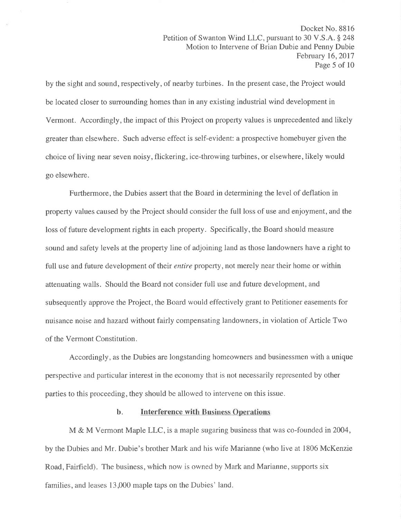by the sight and sound, respectively, of nearby turbines. In the present case, the Project would be located closer to surrounding homes than in any existing industrial wind development in Vermont. Accordingly, the impact of this Project on property values is unprecedented and likely greater than elsewhere. Such adverse effect is self-evident: a prospective homebuyer given the choice of living near seven noisy, flickering, ice-throwing turbines, or elsewhere, likely would go elsewhere.

Furthermore, the Dubies assert that the Board in determining the level of deflation in property values caused by the Project should consider the full loss of use and enjoyment, and the loss of future development rights in each property. Specifically, the Board should measure sound and safety levels at the property line of adjoining land as those landowners have a right to full use and future development of their *entire* property, not merely near their home or within attenuating walls. Should the Board not consider full use and future development, and subsequently approve the Project, the Board would effectively grant to Petitioner easements for nuisance noise and hazard without fairly compensating landowners, in violation of Article Two of the Vermont Constitution.

Accordingly, as the Dubies are longstanding homeowners and businessmen with a unique perspective and particular interest in the economy that is not necessarily represented by other parties to this proceeding, they should be allowed to intervene on this issue.

#### b. Interference with Business Operations

M & M Vermont Maple LLC, is a maple sugaring business that was co-founded in  $2004$ , by the Dubies and Mr. Dubie's brother Mark and his wife Marianne (who live at 1806 McKenzie Road, Fairfield). The business, which now is owned by Mark and Marianne, supports six families, and leases 13,000 maple taps on the Dubies' land.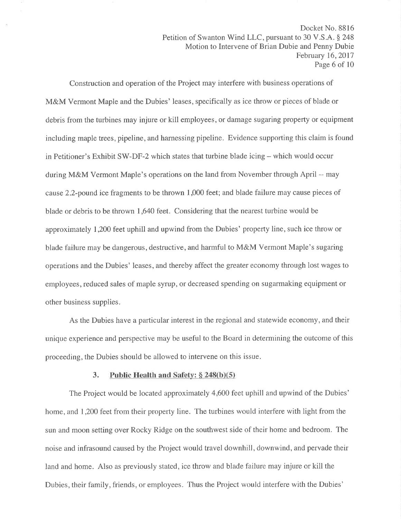Construction and operation of the Project may interfere with business operations of M&M Vermont Maple and the Dubies' leases, specifically as ice throw or pieces of blade or debris from the turbines may injure or kill employees, or damage sugaring property or equipment including maple trees, pipeline, and harnessing pipeline. Evidence supporting this claim is found in Petitioner's Exhibit SW-DF-2 which states that turbine blade icing  $-$  which would occur during M&M Vermont Maple's operations on the land from November through April -- may cause 2.2-pound ice fragments to be thrown 1,000 feet; and blade failure may cause pieces of blade or debris to be thrown I ,640 feet. Considering that the nearest turbine would be approximately 1,200 feet uphill and upwind from the Dubies' property line, such ice throw or blade failure may be dangerous, destructive, and harmful to M&M Vermont Maple's sugaring operations and the Dubies' leases, and thereby affect the greater economy through lost wages to employees, reduced sales of maple syrup, or decreased spending on sugarmaking equipment or other business supplies.

As the Dubies have a particular interest in the regional and statewide economy, and their unique experience and perspective may be useful to the Board in determining the outcome of this proceeding, the Dubies should be allowed to intervene on this issue.

### 3. Public Health and Safety:  $§ 248(b)(5)$

The Project would be located approximately 4,600 feet uphill and upwind of the Dubies' home, and 1,200 feet from their property line. The turbines would interfere with light from the sun and moon setting over Rocky Ridge on the southwest side of their home and bedroom. The noise and infrasound caused by the Project would travel downhill, downwind, and pervade their land and home. Also as previously stated, ice throw and blade failure may injure or kill the Dubies, their family, friends, or employees. Thus the Project would interfere with the Dubies'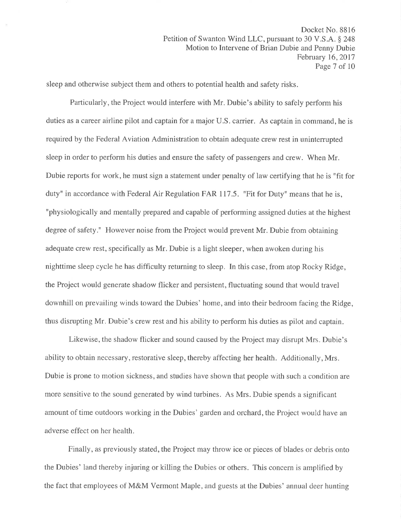sleep and otherwise subject them and others to potential health and safety risks.

Particularly, the Project would interfere with Mr. Dubie's ability to safely perform his duties as a career airline pilot and captain for a major U.S. carrier. As captain in command, he is required by the Federal Aviation Administration to obtain adequate crew rest in uninterrupted sleep in order to perform his duties and ensure the safety of passengers and crew. When Mr. Dubie reports for work, he must sign a statement under penalty of law certifying that he is "fit for duty" in accordance with Federal Air Regulation FAR 117.5. "Fit for Duty" means that he is, "physiologically and mentally prepared and capable of performing assigned duties at the highest degree of safety." However noise from the Project would prevent Mr. Dubie from obtaining adequate crew rest, specifically as Mr. Dubie is a light sleeper, when awoken during his nighttime sleep cycle he has difficulty returning to sleep. In this case, from atop Rocky Ridge, the Project would generate shadow flicker and persistent, fluctuating sound that would travel downhill on prevailing winds toward the Dubies' home, and into their bedroom facing the Ridge, thus disrupting Mr. Dubie's crew rest and his ability to perform his duties as pilot and captain.

Likewise, the shadow flicker and sound caused by the Project may disrupt Mrs. Dubie's ability to obtain necessary, restorative sleep, thereby affecting her health. Additionally, Mrs. Dubie is prone to motion sickness, and studies have shown that people with such a condition are more sensitive to the sound generated by wind turbines. As Mrs. Dubie spends a significant amount of time outdoors working in the Dubies' garden and orchard, the Project would have an adverse effect on her health.

Finally, as previously stated, the Project may throw ice or pieces of blades or debris onto the Dubies' land thereby injuring or killing the Dubies or others. This concern is amplified by the fact that employees of M&M Vermont Maple, and guests at the Dubies' annual deer hunting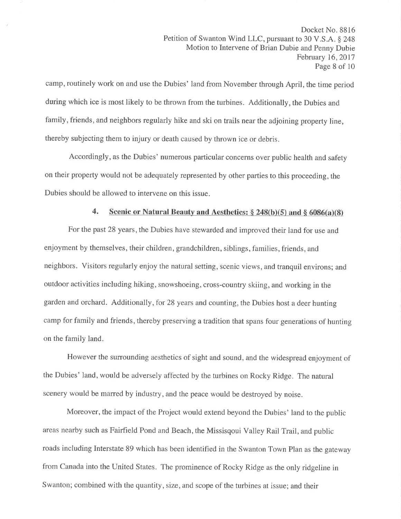camp, routinely work on and use the Dubies' land from November through April, the time period during which ice is most likely to be thrown from the turbines. Additionally, the Dubies and family, friends, and neighbors regularly hike and ski on trails near the adjoining property line, thereby subjecting them to injury or death caused by thrown ice or debris.

Accordingly, as the Dubies' numerous particular concerns over public health and safety on their property would not be adequately represented by other parties to this proceeding, the Dubies should be allowed to intervene on this issue.

### 4. Scenic or Natural Beauty and Aesthetics:  $\S 248(b)(5)$  and  $\S 6086(a)(8)$

For the past 28 years, the Dubies have stewarded and improved their land for use and enjoyment by themselves, their children, grandchildren, siblings, families, friends, and neighbors. Visitors regularly enjoy the natural setting, scenic views, and tranquil environs; and outdoor activities including hiking, snowshoeing, cross-country skiing, and working in the garden and orchard. Additionally, for 28 years and counting, the Dubies host a deer hunting camp for family and friends, thereby preserving a tradition that spans four generations of hunting on the family land.

However the surrounding aesthetics of sight and sound, and the widespread enjoyment of the Dubies' land, would be adversely affected by the turbines on Rocky Ridge. The natural scenery would be marred by industry, and the peace would be destroyed by noise.

Moreover, the impact of the Project would extend beyond the Dubies' land to the public areas nearby such as Fairfield Pond and Beach, the Missisqoui Valley Rail Trail, and public roads including Interstate 89 which has been identified in the Swanton Town Plan as the gateway from Canada into the United States. The prominence of Rocky Ridge as the only ridgeline in Swanton; combined with the quantity, size, and scope of the turbines at issue; and their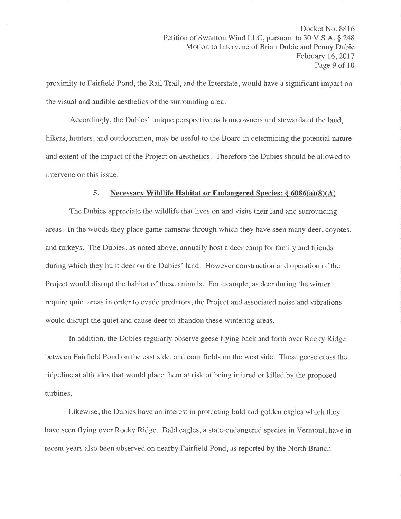proximity to Fairfield Pond, the Rail Trail, and the Interstate, would have a significant impact on the visual and audible aesthetics of the surrounding area.

Accordingly, the Dubies' unique perspective as homeowners and stewards of the land, hikers, hunters, and outdoorsmen, may be useful to the Board in determining the potential nature and extent of the impact of the Project on aesthetics. Therefore the Dubies should be allowed to intervene on this issue.

### 5. Necessary Wildlife Habitat or Endangered Species:  $\S 6086(a)(8)(A)$

The Dubies appreciate the wildlife that lives on and visits their land and surrounding areas. In the woods they place game cameras through which they have seen many deer, coyotes, and turkeys. The Dubies, as noted above, annually host a deer camp for family and friends during which they hunt deer on the Dubies' land. However construction and operation of the Project would disrupt the habitat of these animals. For example, as deer during the winter require quiet areas in order to evade predators, the Project and associated noise and vibrations would disrupt the quiet and cause deer to abandon these wintering areas.

In addition, the Dubies regularly observe geese flying back and forth over Rocky Ridge between Fairfield Pond on the east side, and corn fields on the west side. These geese cross the ridgeline at altitudes that would place them at risk of being injured or killed by the proposed turbines.

Likewise, the Dubies have an interest in protecting bald and golden eagles which they have seen flying over Rocky Ridge. Bald eagles, a state-endangered species in Vermont, have in recent years also been observed on nearby Fairfield Pond, as reported by the North Branch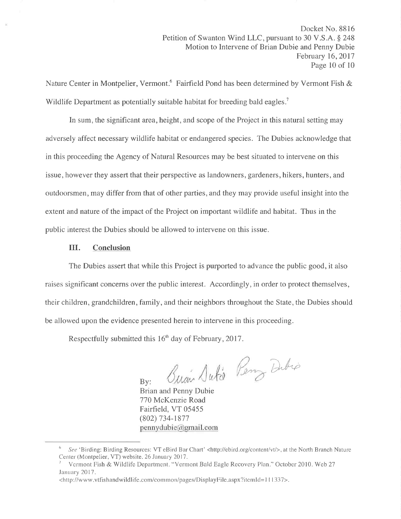Nature Center in Montpelier, Vermont.<sup>6</sup> Fairfield Pond has been determined by Vermont Fish & Wildlife Department as potentially suitable habitat for breeding bald eagles.<sup>7</sup>

In sum, the significant area, height, and scope of the Project in this natural setting may adversely affect necessary wildlife habitat or endangered species. The Dubies acknowledge that in this proceeding the Agency of Natural Resources may be best situated to intervene on this issue, however they assert that their perspective as landowners, gardeners, hikers, hunters, and outdoorsmen, may differ from that of other parties, and they may provide useful insight into the extent and nature of the impact of the Project on important wildlife and habitat. Thus in the public interest the Dubies should be allowed to intervene on this issue.

### III. Conclusion

The Dubies assert that while this Project is purported to advance the public good, it also raises significant concerns over the public interest. Accordingly, in order to protect themselves, their children, grandchildren, family, and their neighbors throughout the State, the Dubies should be allowed upon the evidence presented herein to intervene in this proceeding.

Respectfully submitted this  $16<sup>th</sup>$  day of February, 2017.

 $\Lambda$ lJ utto Dubio

 $\overline{B}v$ Brian and Penny Dubie 770 McKenzie Road Fairfield, VT 05455 (802) 734-1877 pennydubie@gmail.com

<sup>&</sup>lt;sup>6</sup> See 'Birding: Birding Resources: VT eBird Bar Chart' <http://ebird.org/content/vt/>, at the North Branch Nature Center (Montpelier, VT) website. 26 January 2017.

Vermont Fish & Wildlife Department. "Vermont Bald Eagle Recovery Plan." October 2010. Web 27 January 2017.

<sup>&</sup>lt;http://www.vtfishandwildlife.com/common/pages/DisplayFile.aspx?itemId=111337>.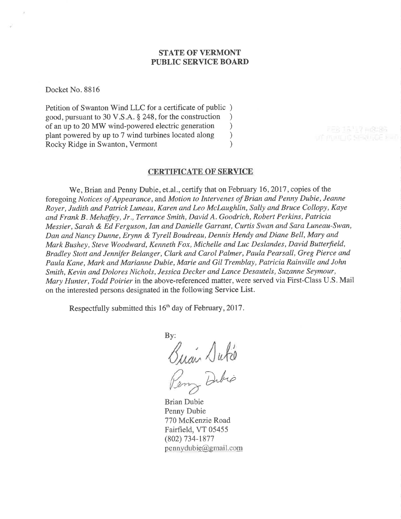### STATE OF VERMONT PUBLIC SERVICE BOARD

Docket No. 8816

Petition of Swanton Wind LLC for a certificate of public ) good, pursuant to 30 V.S.A. \$ 248, for the construction ) of an up to 20 MW wind-powered electric generation <br>plant powered by up to 7 wind turbines located along ) plant powered by up to 7 wind turbines located along <br>
Rocky Ridge in Swanton, Vermont (a) Rocky Ridge in Swanton, Vermont )

#### CERTIFICATE OF SERVICE

We, Brian and Penny Dubie, et.al., certify that on February 16, 2017, copies of the foregoing Notices of Appearance, and Motion to Intervenes of Brian and Penny Dubie, Jeanne Royer, Judith and Patrick Luneau, Karen and Leo Mclaughlin, Sally and Bruce Collopy, Kaye and Frank B . Mehaffey, Jr., Terrance Smith, David A. Goodrich, Robert Perkins, Patricia Messier, Sarah & Ed Ferguson, Ian and Danielle Garrant, Curtis Swan and Sara Luneau-Swan, Dan and Nancy Dunne, Erynn & Tyrell Boudreau, Dennis Hendy and Diane Bell, Mary and Mark Bushey, Steve Woodward, Kenneth Fox, Michelle and Luc Deslandes, David Butterfield, Bradley Stott and Jennifer Belanger, Clark and Carol Palmer, Paula Pearsall, Greg Pierce and Paula Kane, Mark and Marianne Dubie, Marie and Gil Tremblay, Patricia Rainville and John Smith, Kevin and Dolores Nichols, Jessica Decker and Lance Desautels, Suzanne Seymour, Mary Hunter, Todd Poirier in the above-referenced matter, were served via First-Class U.S. Mail on the interested persons designated in the following Service List.

Respectfully submitted this 16<sup>th</sup> day of February, 2017.

By: /J,li, Dibio

Brian Dubie Penny Dubie 770 McKenzie Road Fairfield, VT 05455 (802) 734-1877  $p$ ennydubie $@q$ gmail.com